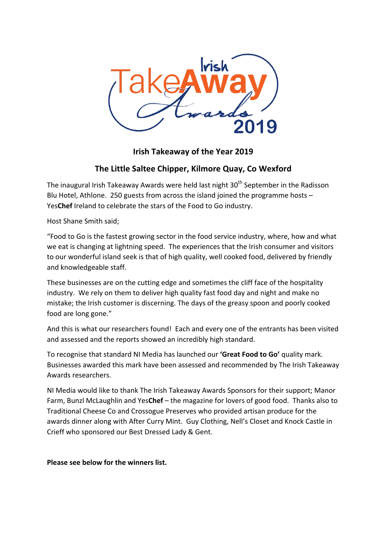

# **Irish Takeaway of the Year 2019**

# **The Little Saltee Chipper, Kilmore Quay, Co Wexford**

The inaugural Irish Takeaway Awards were held last night  $30<sup>th</sup>$  September in the Radisson Blu Hotel, Athlone. 250 guests from across the island joined the programme hosts  $-$ Yes**Chef** Ireland to celebrate the stars of the Food to Go industry.

Host Shane Smith said;

"Food to Go is the fastest growing sector in the food service industry, where, how and what we eat is changing at lightning speed. The experiences that the Irish consumer and visitors to our wonderful island seek is that of high quality, well cooked food, delivered by friendly and knowledgeable staff.

These businesses are on the cutting edge and sometimes the cliff face of the hospitality industry. We rely on them to deliver high quality fast food day and night and make no mistake; the Irish customer is discerning. The days of the greasy spoon and poorly cooked food are long gone."

And this is what our researchers found! Each and every one of the entrants has been visited and assessed and the reports showed an incredibly high standard.

To recognise that standard NI Media has launched our **'Great Food to Go'** quality mark. Businesses awarded this mark have been assessed and recommended by The Irish Takeaway Awards researchers.

NI Media would like to thank The Irish Takeaway Awards Sponsors for their support; Manor Farm, Bunzl McLaughlin and Yes**Chef** – the magazine for lovers of good food. Thanks also to Traditional Cheese Co and Crossogue Preserves who provided artisan produce for the awards dinner along with After Curry Mint. Guy Clothing, Nell's Closet and Knock Castle in Crieff who sponsored our Best Dressed Lady & Gent.

**Please see below for the winners list.**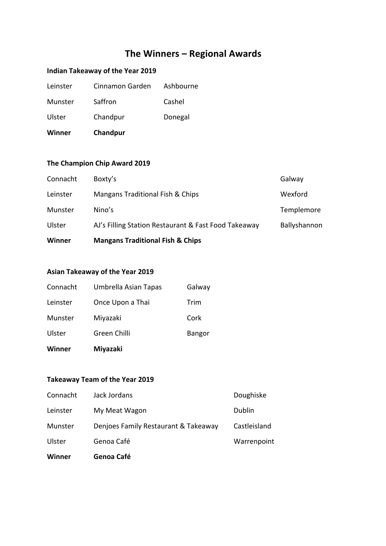# **The Winners – Regional Awards**

# **Indian Takeaway of the Year 2019**

| <b>Winner</b> | Chandpur        |           |
|---------------|-----------------|-----------|
| Ulster        | Chandpur        | Donegal   |
| Munster       | Saffron         | Cashel    |
| Leinster      | Cinnamon Garden | Ashbourne |

# **The Champion Chip Award 2019**

| Winner   | <b>Mangans Traditional Fish &amp; Chips</b>          |              |
|----------|------------------------------------------------------|--------------|
| Ulster   | AJ's Filling Station Restaurant & Fast Food Takeaway | Ballyshannon |
| Munster  | Nino's                                               | Templemore   |
| Leinster | Mangans Traditional Fish & Chips                     | Wexford      |
| Connacht | Boxty's                                              | Galway       |

#### **Asian Takeaway of the Year 2019**

| Winner   | <b>Miyazaki</b>      |        |
|----------|----------------------|--------|
| Ulster   | Green Chilli         | Bangor |
| Munster  | Miyazaki             | Cork   |
| Leinster | Once Upon a Thai     | Trim   |
| Connacht | Umbrella Asian Tapas | Galway |

### **Takeaway Team of the Year 2019**

| Winner   | Genoa Café                           |              |
|----------|--------------------------------------|--------------|
| Ulster   | Genoa Café                           | Warrenpoint  |
| Munster  | Denjoes Family Restaurant & Takeaway | Castleisland |
| Leinster | My Meat Wagon                        | Dublin       |
| Connacht | Jack Jordans                         | Doughiske    |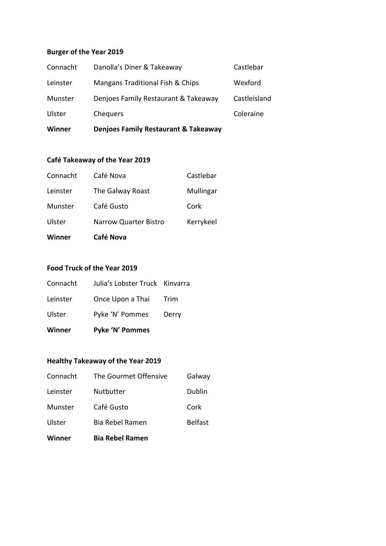#### **Burger of the Year 2019**

| Winner   | <b>Denjoes Family Restaurant &amp; Takeaway</b> |              |
|----------|-------------------------------------------------|--------------|
| Ulster   | Chequers                                        | Coleraine    |
| Munster  | Denjoes Family Restaurant & Takeaway            | Castleisland |
| Leinster | Mangans Traditional Fish & Chips                | Wexford      |
| Connacht | Danolla's Diner & Takeaway                      | Castlebar    |

#### **Café Takeaway of the Year 2019**

| Winner   | Café Nova                    |           |
|----------|------------------------------|-----------|
| Ulster   | <b>Narrow Quarter Bistro</b> | Kerrykeel |
| Munster  | Café Gusto                   | Cork      |
| Leinster | The Galway Roast             | Mullingar |
| Connacht | Café Nova                    | Castlebar |

#### **Food Truck of the Year 2019**

| <b>Winner</b> | Pyke 'N' Pommes                |             |
|---------------|--------------------------------|-------------|
| Ulster        | Pyke 'N' Pommes                | Derry       |
| Leinster      | Once Upon a Thai               | <b>Trim</b> |
| Connacht      | Julia's Lobster Truck Kinvarra |             |

# **Healthy Takeaway of the Year 2019**

| Winner   | <b>Bia Rebel Ramen</b> |                |
|----------|------------------------|----------------|
| Ulster   | Bia Rebel Ramen        | <b>Belfast</b> |
| Munster  | Café Gusto             | Cork           |
| Leinster | <b>Nutbutter</b>       | Dublin         |
| Connacht | The Gourmet Offensive  | Galway         |